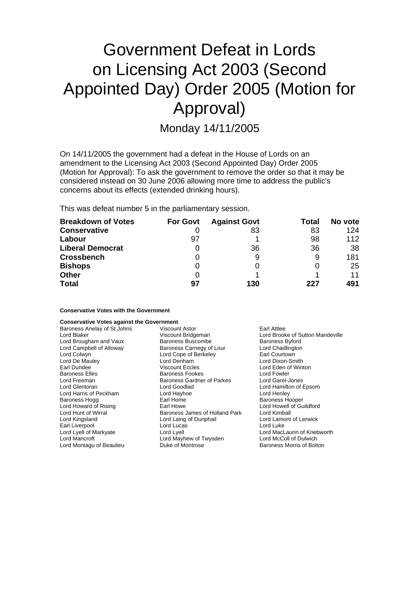# Government Defeat in Lords on Licensing Act 2003 (Second Appointed Day) Order 2005 (Motion for Approval)

Monday 14/11/2005

On 14/11/2005 the government had a defeat in the House of Lords on an amendment to the Licensing Act 2003 (Second Appointed Day) Order 2005 (Motion for Approval): To ask the government to remove the order so that it may be considered instead on 30 June 2006 allowing more time to address the public's concerns about its effects (extended drinking hours).

This was defeat number 5 in the parliamentary session.

| <b>Breakdown of Votes</b> | <b>For Govt</b> | <b>Against Govt</b> | Total | No vote |
|---------------------------|-----------------|---------------------|-------|---------|
| <b>Conservative</b>       |                 | 83                  | 83    | 124     |
| Labour                    | 97              |                     | 98    | 112     |
| <b>Liberal Democrat</b>   |                 | 36                  | 36    | 38      |
| <b>Crossbench</b>         |                 | 9                   | 9     | 181     |
| <b>Bishops</b>            |                 |                     |       | 25      |
| <b>Other</b>              |                 |                     |       | 11      |
| <b>Total</b>              | 97              | 130                 | 227   | 491     |

**Conservative Votes with the Government**

## **Conservative Votes against the Government**

| Viscount Astor                                         | Earl Attlee                 |  |
|--------------------------------------------------------|-----------------------------|--|
| Lord Brooke of Sutton Mandeville<br>Viscount Bridgeman |                             |  |
| Baroness Buscombe                                      | <b>Baroness Byford</b>      |  |
| Baroness Carnegy of Lour                               | Lord Chadlington            |  |
| Lord Cope of Berkeley                                  | Earl Courtown               |  |
| Lord Denham                                            | Lord Dixon-Smith            |  |
| Viscount Eccles                                        | Lord Eden of Winton         |  |
| Baroness Fookes                                        | Lord Fowler                 |  |
| <b>Baroness Gardner of Parkes</b>                      | Lord Garel-Jones            |  |
| Lord Goodlad                                           | Lord Hamilton of Epsom      |  |
| Lord Hayhoe                                            | Lord Henley                 |  |
| Earl Home                                              | <b>Baroness Hooper</b>      |  |
| Earl Howe                                              | Lord Howell of Guildford    |  |
| Baroness James of Holland Park                         | Lord Kimball                |  |
| Lord Laing of Dunphail                                 | Lord Lamont of Lerwick      |  |
| Lord Lucas                                             | Lord Luke                   |  |
| Lord Lyell                                             | Lord MacLaurin of Knebworth |  |
| Lord Mayhew of Twysden                                 | Lord McColl of Dulwich      |  |
| Duke of Montrose                                       | Baroness Morris of Bolton   |  |
|                                                        |                             |  |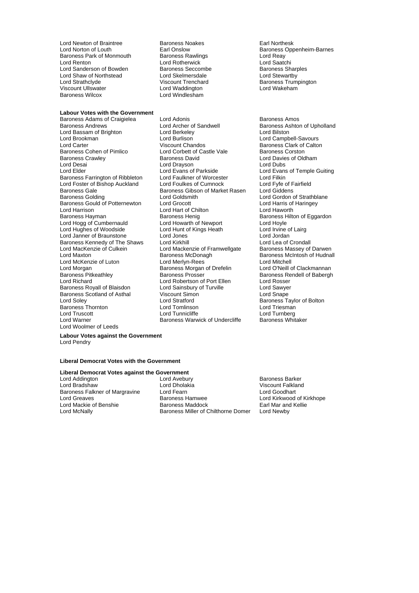Lord Newton of Braintree **Baroness Noakes** Earl Northesk<br>
Lord Norton of Louth **Earl Onslow** Earl Onslow Baroness Park of Monmouth Baroness Rawlings **Lord Reay**<br>Lord Renton **Baroness Lord Rotherwick** Lord Reater Lord Renton Lord Rotherwick The Lord Cart Cord Cart Cord Saatchi<br>Lord Sanderson of Bowden Baroness Seccombe Baroness Sharples Lord Sanderson of Bowden Baroness Seccomb<br>
Lord Shaw of Northstead
Baroness Seccomb Lord Shaw of Northstead Lord Skelmersdale<br>
Lord Strathclyde Viscount Trenchard Viscount Ullswater<br>Baroness Wilcox

# **Labour Votes with the Government**

Baroness Andrews **Communist Conditional Archer of Sandwell** Baroness Ashton of Upholland<br> **Baroness Andrews** Lord Berkeley **Condition**<br>
Lord Baroness Ashton **Condition** Lord Bassam of Brighton Lord Berkeley<br>
Lord Brookman Lord Burlison Lord Brookman Lord Burlison Lord Campbell-Savours<br>
Lord Carter Lord Carter Lord Carter Lord Carter Lord Carter Lord Carter Lord Carter Lord Carter The Carter Chandos Clark of Calton Carter Chandos Clark of Calton Baroness Clark of Calton Baroness Content Chandos Chandos Chandos Baroness Conston Chandos Chandos Constant Baroness Conston Chandos Constant Ch Baroness Cohen of Pimlico **Lord Corbett of Castle Vale** Baroness Corston<br>Baroness Crawley **Baroness David** Baroness David Lord Davies of Old Baroness Crawley **Baroness David** Baroness David Lord Davies of Oldham<br>
Lord Desai **Communist Lord Drayson**<br>
Lord Dubs Lord Elder Lord Evans of Parkside Lord Evans of Temple Guiting Baroness Farrington of Ribbleton Lord Faulkner of Worcester Lord Filkin<br>
Lord Foster of Bishop Auckland Lord Foulkes of Cumnock Lord Fvfe of Fairfield Lord Foster of Bishop Auckland Lord Foulkes of Cumnock Lord Fyfe of F<br>Baroness Gale Baroness Gibson of Market Rasen Lord Giddens Baroness Gale<br>Baroness Gale<br>Baroness Golding **Baroness Colding** Lord Goldsmith Baroness Gould of Potternewton Lord Grocott Cord Harris of Lord Harris of Lord Harris of Lord Haventh<br>Lord Harrison Lord Hart of Chilton Lord Haworth Lord Harrison **Lord Hart of Chilton**<br>
Baroness Hayman **Communist Communist Communist Communist Communist Communist Communist Communist Communist Communist Communist Communist Communist Communist Communist Communist Communi** Lord Hogg of Cumbernauld Lord Howarth of Newport Lord Hoyle<br>
Lord Hughes of Woodside Lord Hunt of Kings Heath Lord Irvine of Lairg Lord Hughes of Woodside Lord Hunt of Kings Heath Lord Irvine of Riel Lord Irvine of Braunstone Lord Jones Lord Janner of Braunstone Lord Jones Lord Jordan Lord Jordan Lord Jordan Lord Jordan Lord Lord Lea of Crondall Baroness Kennedy of The Shaws Lord MacKenzie of Culkein Lord Mackenzie of Framwellgate Baroness Massey of Darwen<br>Lord Maxton Cord Maxton Baroness McDonagh Baroness McIntosh of Hudnal Lord McKenzie of Luton Lord Merlyn-Rees<br>
Lord Morgan Lord Merlyn-Rees Lord Drefelin Lord O'Neill of Clackmannan Lord Morgan **Baroness** Morgan of Drefelin Baroness Morgan of Drefelin<br>Baroness Pitkeathley **Clackmannan Claud Clare Claude Baroness Prosser** Baroness Pitkeathley **Baroness Prosser** Baroness Rendell of Babergh<br>
Lord Richard **Baroness Rendell Communist Communist Communist Communist Communist Communist Communist Communist Communist Communist Communist Communist Co** Baroness Royall of Blaisdon Baroness Scotland of Asthal Viscount Simon Correspondence Scotland Lord Snape<br>
Lord Soley Correspondence State Lord Stratford Christmas State Baroness Ta Baroness Thornton Lord Truscott Lord Tunnicliffe Lord Turnberg Lord Woolmer of Leeds

Lord Stelmersdale<br>
Viscount Trenchard<br>
Lord Stelmersdale<br>
Lord Stewartby<br>
Viscount Trenchard<br>
Lord Wakeham<br>
Lord Wakeham Lord Windlesham

Baroness Adams of Craigielea Lord Adonis<br>
Baroness Andrews Lord Archer of Sandwell Baroness Ashtoi Lord Drayson<br>Lord Evans of Parkside Lord Goldsmith<br>
Lord Gordon of Strathblane<br>
Lord Harris of Harringey Baroness Henig Baroness Hilton of Eggardon<br>
Lord Hoyle<br>
Lord Hoyle Baroness McDonagh Baroness McIntosh of Hudnall<br>
Lord Merlyn-Rees<br>
Lord Mitchell Lord Robertson of Port Ellen Lord Rosser<br>
Lord Sainsbury of Turville Lord Sawyer Lord Stratford **Baroness** Taylor of Bolton<br>
Lord Tomlinson **Baroness** Lord Triesman Baroness Warwick of Undercliffe

Earl Onslow **Communist Constructs** Baroness Oppenheim-Barnes<br>
Baroness Rawlings **Communist Communist Communist Communist Communist Communist Communist Communist Communist Communist Communist Communist Communist Communist C** 

**Labour Votes against the Government** Lord Pendry

#### **Liberal Democrat Votes with the Government**

# **Liberal Democrat Votes against the Government**

Baroness Falkner of Margravine Lord Fearn<br>Lord Greaves Lord Greaves

Lord Addington **Lord Avebury** Baroness Barker<br>
Lord Bradshaw **Baroness Barker**<br>
Lord Dholakia **Baroness Barker** Christene Lord Bradshaw Lord Bradshaw Lord Dholakia Viscount Falkland Lord Greaves Baroness Hamwee Lord Kirkwood of Kirkhope Lord Mackie of Benshie **Baroness Maddock** Earl Mar and Lord McNally **Earl Mar and Baroness Miller of Chilthorne Domer** Lord Newby Baroness Miller of Chilthorne Domer